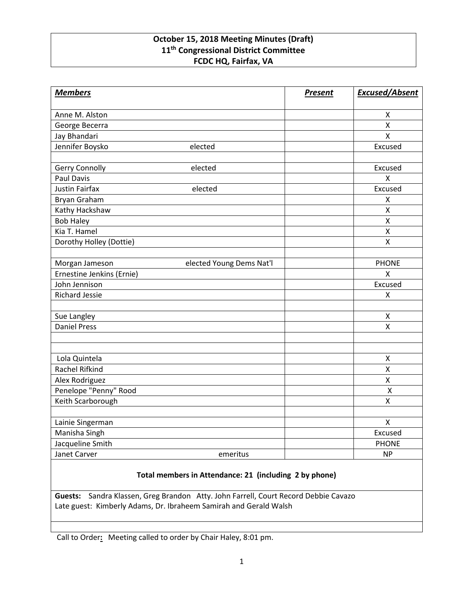## **October 15, 2018 Meeting Minutes (Draft) 11th Congressional District Committee FCDC HQ, Fairfax, VA**

| <b>Members</b>            |                          | <b>Present</b> | <b>Excused/Absent</b> |
|---------------------------|--------------------------|----------------|-----------------------|
| Anne M. Alston            |                          |                | X                     |
| George Becerra            |                          |                | X                     |
| Jay Bhandari              |                          |                | X                     |
| Jennifer Boysko           | elected                  |                | Excused               |
|                           |                          |                |                       |
| Gerry Connolly            | elected                  |                | Excused               |
| <b>Paul Davis</b>         |                          |                | $\mathsf{x}$          |
| <b>Justin Fairfax</b>     | elected                  |                | Excused               |
| Bryan Graham              |                          |                | X                     |
| Kathy Hackshaw            |                          |                | $\pmb{\mathsf{X}}$    |
| <b>Bob Haley</b>          |                          |                | X                     |
| Kia T. Hamel              |                          |                | $\pmb{\mathsf{X}}$    |
| Dorothy Holley (Dottie)   |                          |                | $\sf X$               |
|                           |                          |                |                       |
| Morgan Jameson            | elected Young Dems Nat'l |                | <b>PHONE</b>          |
| Ernestine Jenkins (Ernie) |                          |                | $\mathsf{X}$          |
| John Jennison             |                          |                | Excused               |
| <b>Richard Jessie</b>     |                          |                | X                     |
|                           |                          |                |                       |
| Sue Langley               |                          |                | $\pmb{\mathsf{X}}$    |
| <b>Daniel Press</b>       |                          |                | X                     |
|                           |                          |                |                       |
|                           |                          |                |                       |
| Lola Quintela             |                          |                | $\pmb{\mathsf{X}}$    |
| Rachel Rifkind            |                          |                | $\pmb{\mathsf{X}}$    |
| Alex Rodriguez            |                          |                | X                     |
| Penelope "Penny" Rood     |                          |                | $\pmb{\mathsf{X}}$    |
| Keith Scarborough         |                          |                | X                     |
|                           |                          |                |                       |
| Lainie Singerman          |                          |                | $\pmb{\mathsf{X}}$    |
| Manisha Singh             |                          |                | Excused               |
| Jacqueline Smith          |                          |                | <b>PHONE</b>          |
| Janet Carver              | emeritus                 |                | <b>NP</b>             |

## **Total members in Attendance: 21 (including 2 by phone)**

**Guests:** Sandra Klassen, Greg Brandon Atty. John Farrell, Court Record Debbie Cavazo Late guest: Kimberly Adams, Dr. Ibraheem Samirah and Gerald Walsh

Call to Order**:** Meeting called to order by Chair Haley, 8:01 pm.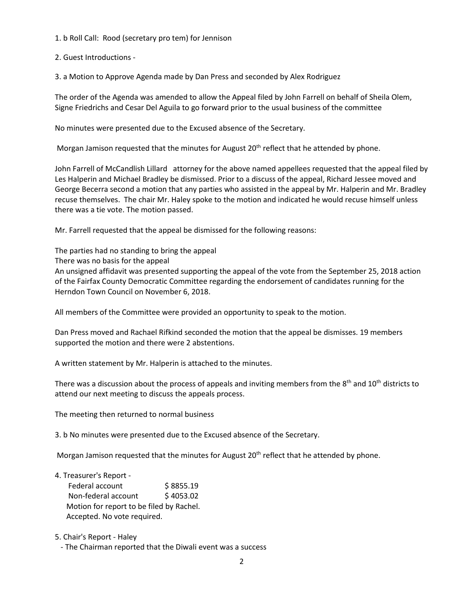1. b Roll Call: Rood (secretary pro tem) for Jennison

2. Guest Introductions -

3. a Motion to Approve Agenda made by Dan Press and seconded by Alex Rodriguez

The order of the Agenda was amended to allow the Appeal filed by John Farrell on behalf of Sheila Olem, Signe Friedrichs and Cesar Del Aguila to go forward prior to the usual business of the committee

No minutes were presented due to the Excused absence of the Secretary.

Morgan Jamison requested that the minutes for August 20<sup>th</sup> reflect that he attended by phone.

John Farrell of McCandlish Lillard attorney for the above named appellees requested that the appeal filed by Les Halperin and Michael Bradley be dismissed. Prior to a discuss of the appeal, Richard Jessee moved and George Becerra second a motion that any parties who assisted in the appeal by Mr. Halperin and Mr. Bradley recuse themselves. The chair Mr. Haley spoke to the motion and indicated he would recuse himself unless there was a tie vote. The motion passed.

Mr. Farrell requested that the appeal be dismissed for the following reasons:

The parties had no standing to bring the appeal

There was no basis for the appeal

An unsigned affidavit was presented supporting the appeal of the vote from the September 25, 2018 action of the Fairfax County Democratic Committee regarding the endorsement of candidates running for the Herndon Town Council on November 6, 2018.

All members of the Committee were provided an opportunity to speak to the motion.

Dan Press moved and Rachael Rifkind seconded the motion that the appeal be dismisses. 19 members supported the motion and there were 2 abstentions.

A written statement by Mr. Halperin is attached to the minutes.

There was a discussion about the process of appeals and inviting members from the 8<sup>th</sup> and 10<sup>th</sup> districts to attend our next meeting to discuss the appeals process.

The meeting then returned to normal business

3. b No minutes were presented due to the Excused absence of the Secretary.

Morgan Jamison requested that the minutes for August  $20<sup>th</sup>$  reflect that he attended by phone.

- 4. Treasurer's Report Federal account \$8855.19 Non-federal account \$4053.02 Motion for report to be filed by Rachel. Accepted. No vote required.
- 5. Chair's Report Haley

- The Chairman reported that the Diwali event was a success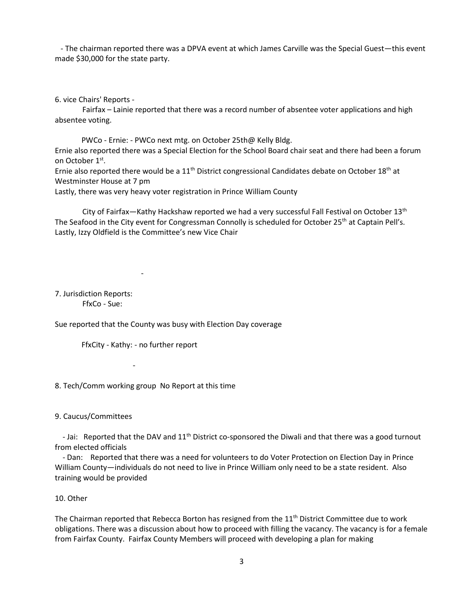- The chairman reported there was a DPVA event at which James Carville was the Special Guest—this event made \$30,000 for the state party.

6. vice Chairs' Reports -

Fairfax – Lainie reported that there was a record number of absentee voter applications and high absentee voting.

 PWCo - Ernie: - PWCo next mtg. on October 25th@ Kelly Bldg. Ernie also reported there was a Special Election for the School Board chair seat and there had been a forum on October 1<sup>st</sup>.

Ernie also reported there would be a 11<sup>th</sup> District congressional Candidates debate on October 18<sup>th</sup> at Westminster House at 7 pm

Lastly, there was very heavy voter registration in Prince William County

City of Fairfax—Kathy Hackshaw reported we had a very successful Fall Festival on October 13<sup>th</sup> The Seafood in the City event for Congressman Connolly is scheduled for October 25<sup>th</sup> at Captain Pell's. Lastly, Izzy Oldfield is the Committee's new Vice Chair

7. Jurisdiction Reports: FfxCo - Sue:

Sue reported that the County was busy with Election Day coverage

FfxCity - Kathy: - no further report

-

8. Tech/Comm working group No Report at this time

9. Caucus/Committees

- 1990 - 1990 - 1990 - 1990 - 1990 - 1990 - 1990 - 1990 - 1990 - 1990 - 1990 - 1990 - 1990 - 1990 - 1990 - 199

- Jai: Reported that the DAV and 11<sup>th</sup> District co-sponsored the Diwali and that there was a good turnout from elected officials

 - Dan: Reported that there was a need for volunteers to do Voter Protection on Election Day in Prince William County—individuals do not need to live in Prince William only need to be a state resident. Also training would be provided

## 10. Other

The Chairman reported that Rebecca Borton has resigned from the 11<sup>th</sup> District Committee due to work obligations. There was a discussion about how to proceed with filling the vacancy. The vacancy is for a female from Fairfax County. Fairfax County Members will proceed with developing a plan for making